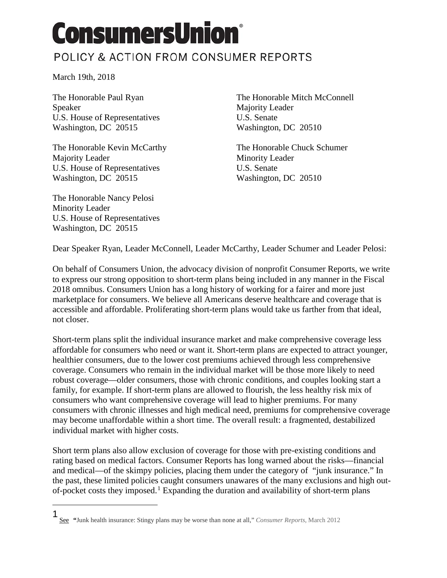## **ConsumersUnion®** POLICY & ACTION FROM CONSUMER REPORTS

March 19th, 2018

Speaker Majority Leader<br>
U.S. House of Representatives U.S. Senate<br>
U.S. Senate U.S. House of Representatives Washington, DC 20515 Washington, DC 20510

The Honorable Kevin McCarthy The Honorable Chuck Schumer Majority Leader Minority Leader U.S. House of Representatives U.S. Senate Washington, DC 20515 Washington, DC 20510

The Honorable Nancy Pelosi Minority Leader U.S. House of Representatives Washington, DC 20515

The Honorable Paul Ryan The Honorable Mitch McConnell

Dear Speaker Ryan, Leader McConnell, Leader McCarthy, Leader Schumer and Leader Pelosi:

On behalf of Consumers Union, the advocacy division of nonprofit Consumer Reports, we write to express our strong opposition to short-term plans being included in any manner in the Fiscal 2018 omnibus. Consumers Union has a long history of working for a fairer and more just marketplace for consumers. We believe all Americans deserve healthcare and coverage that is accessible and affordable. Proliferating short-term plans would take us farther from that ideal, not closer.

Short-term plans split the individual insurance market and make comprehensive coverage less affordable for consumers who need or want it. Short-term plans are expected to attract younger, healthier consumers, due to the lower cost premiums achieved through less comprehensive coverage. Consumers who remain in the individual market will be those more likely to need robust coverage—older consumers, those with chronic conditions, and couples looking start a family, for example. If short-term plans are allowed to flourish, the less healthy risk mix of consumers who want comprehensive coverage will lead to higher premiums. For many consumers with chronic illnesses and high medical need, premiums for comprehensive coverage may become unaffordable within a short time. The overall result: a fragmented, destabilized individual market with higher costs.

Short term plans also allow exclusion of coverage for those with pre-existing conditions and rating based on medical factors. Consumer Reports has long warned about the risks—financial and medical—of the skimpy policies, placing them under the category of "junk insurance." In the past, these limited policies caught consumers unawares of the many exclusions and high out-of-pocket costs they imposed.<sup>[1](#page-0-0)</sup> Expanding the duration and availability of short-term plans

<span id="page-0-0"></span> $\ddot{\phantom{a}}$ 1

See **"**Junk health insurance: Stingy plans may be worse than none at all," *Consumer Reports*, March 2012